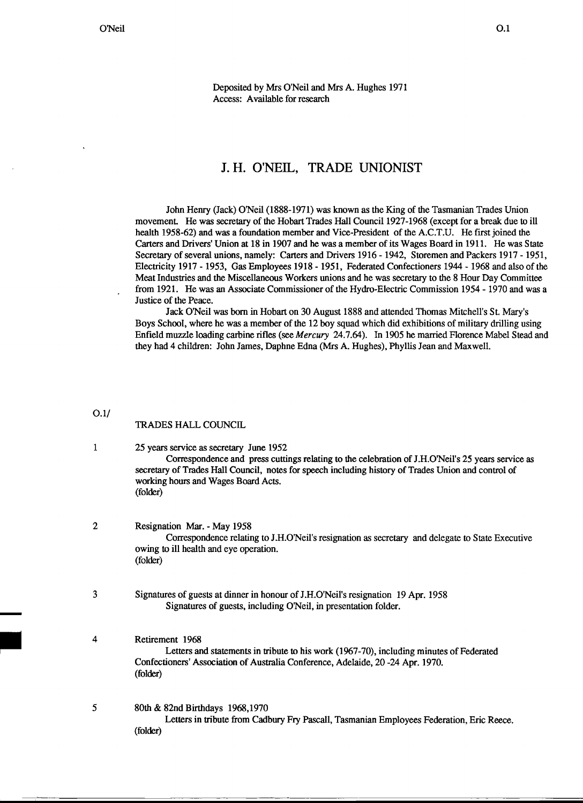Deposited by Mrs O'Neil and Mrs A. Hughes 1971 Access: Available for research

# J. H. O'NEIL, TRADE UNIONIST

John Henry (Jack) O'Neil (1888-1971) was known as the King of the Tasmanian Trades Union movement. He was secretary of the Hobart Trades Hall Council 1927-1968 (except for a break due to ill health 1958-62) and was a foundation member and Vice-President of the A.C.T.U. He first joined the Carters and Drivers' Union at 18 in 1907 and he was a member of its Wages Board in 1911. He was State Secretary of several unions, namely: Carters and Drivers 1916 - 1942, Storemen and Packers 1917 - 1951, Electricity 1917 - 1953, Gas Employees 1918 - 1951, Federated Confectioners 1944 - 1968 and also of the Meat Industries and the Miscellaneous Workers unions and he was secretary to the 8 Hour Day Committee from 1921. He was an Associate Commissioner of the Hydro-Electric Commission 1954 - 1970 and was a Justice of the Peace.

Jack O'Neil was born in Hobart on 30 August 1888 and attended Thomas Mitchell's St. Mary's Boys School, where he was a member of the 12 boy squad which did exhibitions of military drilling using Enfield muzzle loading carbine rifles (see Mercury 24.7.64). In 1905 he married Florence Mabel Stead and they had 4 children: John James, Daphne Edna (Mrs A. Hughes), Phyllis Jean and Maxwell.

### 0.1/

## TRADES HALL COUNCIL

# 1 25 years serviceas secretary June 1952 Correspondence and press cuttings relating to the celebration of J.H.O'Neil's 25 years service as secretary of Trades Hall Council, notes for speech including history of Trades Union and control of working hours and Wages Board Acts. (folder)

# 2 Resignation Mar. - May 1958 Correspondence relating to J.H.O'Neil's resignation as secretary and delegate to State Executive owing to ill health and eye operation. (folder)

3 Signatures of guests at dinner in honour of J.H.O'Neil's resignation 19 Apr. 1958 Signatures of guests, including O'Neil, in presentation folder.

4<br>
Retirement 1968<br>
Letters and<br>
Confectioners' Ass<br>
(folder) Letters and statements in tribute to his work (1967-70), including minutes of Federated Confectioners' Association of AustraliaConference, Adelaide,20 -24 Apr. 1970. (folder)

5 80th & 82nd Birthdays 1968,1970

Letters in tribute from Cadbury Fry Pascall, Tasmanian Employees Federation, Eric Reece. (folder)